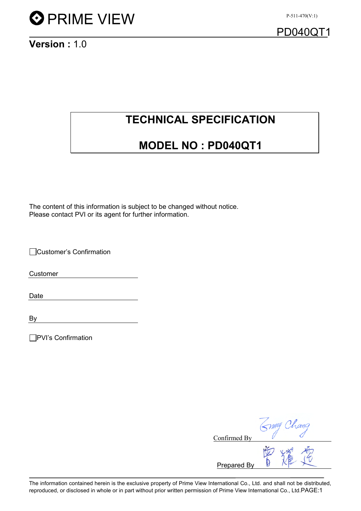



Version: 10

### TECHNICAL SPECIFICATION

### MODEL NO : PD040QT1

The content of this information is subject to be changed without notice. Please contact PVI or its agent for further information.

Customer's Confirmation

Customer

Date

By

**PVI's Confirmation** 

| Confirmed By | $\alpha n$ |
|--------------|------------|
| Prepared By  |            |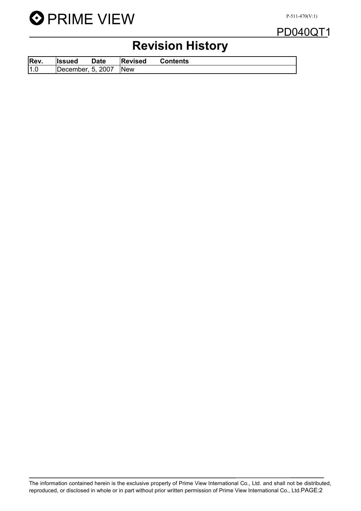

#### PD040QT1

## Revision History

| Rev. | <b>Ilssued</b>    | <b>Date</b> | <b>Revised</b> | <b>Contents</b> |
|------|-------------------|-------------|----------------|-----------------|
| 1.0  | December, 5, 2007 |             | <b>New</b>     |                 |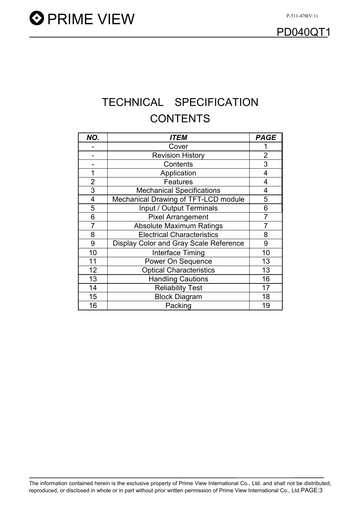## TECHNICAL SPECIFICATION **CONTENTS**

| NO. | <i><b>ITEM</b></i>                     | <b>PAGE</b> |  |  |  |  |  |  |
|-----|----------------------------------------|-------------|--|--|--|--|--|--|
|     | Cover                                  |             |  |  |  |  |  |  |
|     | <b>Revision History</b>                | 2           |  |  |  |  |  |  |
|     | Contents                               | 3           |  |  |  |  |  |  |
| 1   | Application                            | 4           |  |  |  |  |  |  |
| 2   | Features                               | 4           |  |  |  |  |  |  |
| 3   | <b>Mechanical Specifications</b>       | 4           |  |  |  |  |  |  |
| 4   | Mechanical Drawing of TFT-LCD module   |             |  |  |  |  |  |  |
| 5   | Input / Output Terminals               |             |  |  |  |  |  |  |
| 6   | <b>Pixel Arrangement</b>               |             |  |  |  |  |  |  |
| 7   | <b>Absolute Maximum Ratings</b>        |             |  |  |  |  |  |  |
| 8   | <b>Electrical Characteristics</b>      | 8           |  |  |  |  |  |  |
| 9   | Display Color and Gray Scale Reference | 9           |  |  |  |  |  |  |
| 10  | Interface Timing                       | 10          |  |  |  |  |  |  |
| 11  | Power On Sequence                      | 13          |  |  |  |  |  |  |
| 12  | <b>Optical Characteristics</b>         | 13          |  |  |  |  |  |  |
| 13  | <b>Handling Cautions</b>               | 16          |  |  |  |  |  |  |
| 14  | <b>Reliability Test</b>                | 17          |  |  |  |  |  |  |
| 15  | <b>Block Diagram</b>                   | 18          |  |  |  |  |  |  |
| 16  | Packing                                | 19          |  |  |  |  |  |  |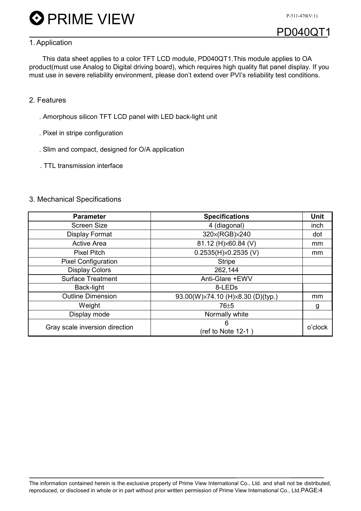#### 1. Application

This data sheet applies to a color TFT LCD module, PD040QT1.This module applies to OA product(must use Analog to Digital driving board), which requires high quality flat panel display. If you must use in severe reliability environment, please don't extend over PVI's reliability test conditions.

#### 2. Features

- . Amorphous silicon TFT LCD panel with LED back-light unit
- . Pixel in stripe configuration
- . Slim and compact, designed for O/A application
- . TTL transmission interface

#### 3. Mechanical Specifications

| <b>Parameter</b>               | <b>Specifications</b>             | <b>Unit</b> |
|--------------------------------|-----------------------------------|-------------|
| <b>Screen Size</b>             | 4 (diagonal)                      | inch        |
| Display Format                 | 320x(RGB)x240                     | dot         |
| <b>Active Area</b>             | 81.12 (H)×60.84 (V)               | mm          |
| <b>Pixel Pitch</b>             | $0.2535(H)\times 0.2535(V)$       | mm          |
| <b>Pixel Configuration</b>     | <b>Stripe</b>                     |             |
| <b>Display Colors</b>          | 262,144                           |             |
| <b>Surface Treatment</b>       | Anti-Glare +EWV                   |             |
| Back-light                     | 8-LED <sub>s</sub>                |             |
| <b>Outline Dimension</b>       | 93.00(W)×74.10 (H)×8.30 (D)(typ.) | mm          |
| Weight                         | $76 \pm 5$                        | g           |
| Display mode                   | Normally white                    |             |
| Gray scale inversion direction | 6                                 | o'clock     |
|                                | (ref to Note 12-1)                |             |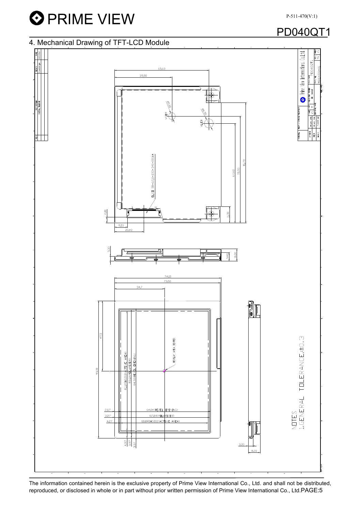

### PD040QT1

#### 4. Mechanical Drawing of TFT-LCD Module

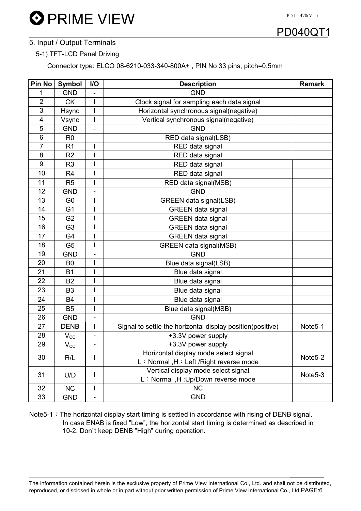

#### 5. Input / Output Terminals

#### 5-1) TFT-LCD Panel Driving

Connector type: ELCO 08-6210-033-340-800A+ , PIN No 33 pins, pitch=0.5mm

| Pin No         | <b>Symbol</b>   | I/O                      | <b>Description</b>                                         | <b>Remark</b>        |  |
|----------------|-----------------|--------------------------|------------------------------------------------------------|----------------------|--|
| 1              | <b>GND</b>      |                          | <b>GND</b>                                                 |                      |  |
| $\overline{2}$ | <b>CK</b>       |                          | Clock signal for sampling each data signal                 |                      |  |
| 3              | <b>Hsync</b>    |                          | Horizontal synchronous signal(negative)                    |                      |  |
| 4              | Vsync           | $\overline{\phantom{a}}$ | Vertical synchronous signal(negative)                      |                      |  |
| 5              | <b>GND</b>      |                          | <b>GND</b>                                                 |                      |  |
| 6              | R <sub>0</sub>  |                          | RED data signal(LSB)                                       |                      |  |
| $\overline{7}$ | R <sub>1</sub>  |                          | RED data signal                                            |                      |  |
| 8              | R <sub>2</sub>  |                          | RED data signal                                            |                      |  |
| 9              | R <sub>3</sub>  |                          | RED data signal                                            |                      |  |
| 10             | R <sub>4</sub>  | I                        | RED data signal                                            |                      |  |
| 11             | R <sub>5</sub>  |                          | RED data signal(MSB)                                       |                      |  |
| 12             | <b>GND</b>      |                          | <b>GND</b>                                                 |                      |  |
| 13             | G <sub>0</sub>  |                          | GREEN data signal(LSB)                                     |                      |  |
| 14             | G <sub>1</sub>  |                          | <b>GREEN</b> data signal                                   |                      |  |
| 15             | G <sub>2</sub>  | I                        | <b>GREEN</b> data signal                                   |                      |  |
| 16             | G <sub>3</sub>  |                          | <b>GREEN</b> data signal                                   |                      |  |
| 17             | G4              | $\overline{\phantom{a}}$ | <b>GREEN</b> data signal                                   |                      |  |
| 18             | G <sub>5</sub>  | I                        | GREEN data signal(MSB)                                     |                      |  |
| 19             | <b>GND</b>      | L,                       | <b>GND</b>                                                 |                      |  |
| 20             | B <sub>0</sub>  |                          | Blue data signal(LSB)                                      |                      |  |
| 21             | <b>B1</b>       |                          | Blue data signal                                           |                      |  |
| 22             | <b>B2</b>       |                          | Blue data signal                                           |                      |  |
| 23             | B <sub>3</sub>  | ı                        | Blue data signal                                           |                      |  |
| 24             | <b>B4</b>       |                          | Blue data signal                                           |                      |  |
| 25             | <b>B5</b>       | I                        | Blue data signal(MSB)                                      |                      |  |
| 26             | <b>GND</b>      |                          | <b>GND</b>                                                 |                      |  |
| 27             | <b>DENB</b>     |                          | Signal to settle the horizontal display position(positive) | Note5-1              |  |
| 28             | $V_{\rm CC}$    | -                        | +3.3V power supply                                         |                      |  |
| 29             | $V_{\text{CC}}$ | $\overline{a}$           | +3.3V power supply                                         |                      |  |
|                |                 |                          | Horizontal display mode select signal                      | Note <sub>5-2</sub>  |  |
| 30             | R/L             | I                        | L: Normal, H: Left / Right reverse mode                    |                      |  |
|                |                 |                          | Vertical display mode select signal                        |                      |  |
| 31             | U/D             | L                        | L: Normal, H: Up/Down reverse mode                         | Note <sub>5</sub> -3 |  |
| 32             | <b>NC</b>       |                          | <b>NC</b>                                                  |                      |  |
| 33             | <b>GND</b>      | $\overline{\phantom{0}}$ | <b>GND</b>                                                 |                      |  |

Note5-1: The horizontal display start timing is settled in accordance with rising of DENB signal. In case ENAB is fixed "Low", the horizontal start timing is determined as described in 10-2. Don`t keep DENB "High" during operation.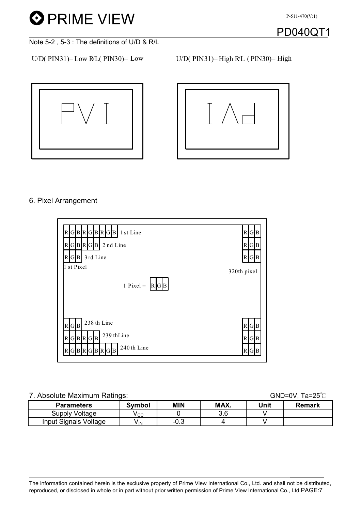# **O** PRIME VIEW

P-511-470(V:1)

### $PD040Q$

Note 5-2 , 5-3 : The definitions of U/D & R/L

 $U/D(PIN31) = Low RL(PIN30) = Low$   $U/D(PIN31) = High RL (PIN30) = High$ 





#### 6. Pixel Arrangement



#### 7. Absolute Maximum Ratings: GND=0V, Ta=25℃

| <b>Parameters</b>     | <b>Symbol</b> | <b>MIN</b> | MAX. | Unit | <b>Remark</b> |
|-----------------------|---------------|------------|------|------|---------------|
| Supply Voltage        | у сс          |            | 3.6  |      |               |
| Input Signals Voltage | Y IN.         | −∪.◡       |      |      |               |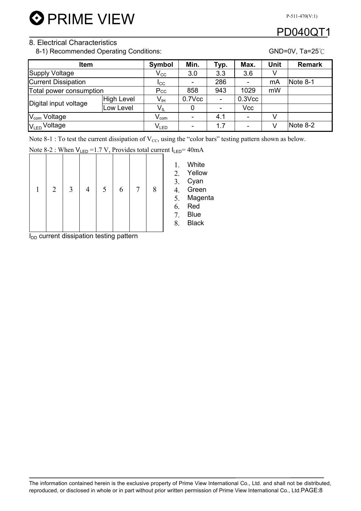

#### 8. Electrical Characteristics

8-1) Recommended Operating Conditions: GND=0V, Ta=25°C

| <b>Item</b>                |                    | Symbol                     | Min.                     | Typ.                     | Max.         | <b>Unit</b> | <b>Remark</b> |
|----------------------------|--------------------|----------------------------|--------------------------|--------------------------|--------------|-------------|---------------|
| Supply Voltage             | $V_{\rm CC}$       | 3.0                        | 3.3                      | 3.6                      |              |             |               |
| <b>Current Dissipation</b> | $_{\rm{LCC}}$      | $\overline{\phantom{a}}$   | 286                      |                          | mA           | Note 8-1    |               |
| Total power consumption    | Pcc                | 858                        | 943                      | 1029                     | mW           |             |               |
| Digital input voltage      | High Level         | $\mathsf{V}_{\mathsf{IH}}$ | 0.7Vcc                   | $\overline{\phantom{a}}$ | $0.3$ V $cc$ |             |               |
|                            | Low Level          | $V_{IL}$                   | 0                        |                          | Vcc          |             |               |
| V <sub>com</sub> Voltage   | $V_{\mathsf{com}}$ | ۰                          | 4.1                      |                          |              |             |               |
| V <sub>LED</sub> Voltage   |                    | $V_{LED}$                  | $\overline{\phantom{a}}$ | 1.7                      |              | V           | Note 8-2      |

**White Yellow** Cyan 4. Green **Magenta** 6. Red 7. Blue **Black** 

Note 8-1 : To test the current dissipation of  $V_{CC}$ , using the "color bars" testing pattern shown as below.

Note 8-2 : When  $V_{LED} = 1.7 V$ , Provides total current  $I_{LED} = 40 \text{ mA}$ 

|  | 2 | 3 <sup>1</sup> | $\overline{4}$ | 5 <sup>1</sup> | 6 | 7 <sup>1</sup> | 8 | 2. $3.4.5.6.7.$<br>$\overline{8}$ . |
|--|---|----------------|----------------|----------------|---|----------------|---|-------------------------------------|
|--|---|----------------|----------------|----------------|---|----------------|---|-------------------------------------|

 $I_{DD}$  current dissipation testing pattern

### P-511-470(V:1)

### PD0400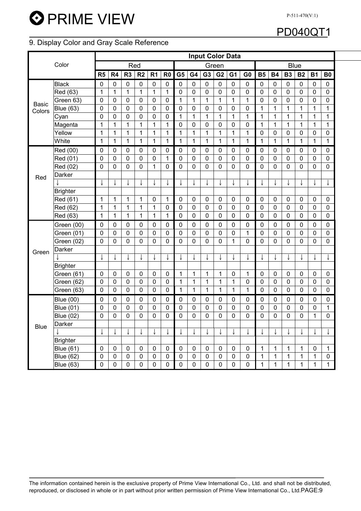### PD040QT1

P-511-470(V:1)

#### 9. Display Color and Gray Scale Reference

|              | <b>Input Color Data</b> |              |                |                |                |                  |                |                |              |                  |                |                |                |                  |              |              |              |              |                |
|--------------|-------------------------|--------------|----------------|----------------|----------------|------------------|----------------|----------------|--------------|------------------|----------------|----------------|----------------|------------------|--------------|--------------|--------------|--------------|----------------|
|              | Color                   |              |                | Red            |                |                  |                |                |              |                  | Green          |                |                |                  |              |              | <b>Blue</b>  |              |                |
|              |                         | R5           | R4             | R <sub>3</sub> | R <sub>2</sub> | R <sub>1</sub>   | R <sub>0</sub> | G <sub>5</sub> | G4           | G <sub>3</sub>   | G <sub>2</sub> | G <sub>1</sub> | G <sub>0</sub> | <b>B5</b>        | <b>B4</b>    | <b>B3</b>    | <b>B2</b>    | <b>B1</b>    | B <sub>0</sub> |
|              | <b>Black</b>            | 0            | $\pmb{0}$      | $\pmb{0}$      | $\pmb{0}$      | $\boldsymbol{0}$ | $\pmb{0}$      | $\pmb{0}$      | $\pmb{0}$    | $\boldsymbol{0}$ | $\pmb{0}$      | 0              | $\pmb{0}$      | 0                | 0            | $\mathbf 0$  | $\pmb{0}$    | $\pmb{0}$    | $\pmb{0}$      |
|              | Red (63)                | $\mathbf{1}$ | $\mathbf{1}$   | $\mathbf{1}$   | $\mathbf{1}$   | $\mathbf 1$      | $\mathbf{1}$   | $\mathbf 0$    | $\pmb{0}$    | $\mathbf 0$      | $\pmb{0}$      | $\mathbf 0$    | $\mathbf 0$    | $\mathbf 0$      | $\mathbf 0$  | $\mathbf 0$  | $\mathbf 0$  | $\mathbf 0$  | $\mathbf 0$    |
| <b>Basic</b> | Green 63)               | 0            | 0              | $\mathbf 0$    | 0              | 0                | 0              | $\mathbf{1}$   | 1            | 1                | $\mathbf{1}$   | 1              | $\mathbf{1}$   | $\mathbf 0$      | 0            | 0            | 0            | 0            | 0              |
| Colors       | <b>Blue (63)</b>        | 0            | $\mathbf 0$    | $\pmb{0}$      | 0              | 0                | 0              | 0              | 0            | $\mathbf 0$      | 0              | 0              | 0              | 1                | 1            | 1            | $\mathbf{1}$ | 1            | 1              |
|              | Cyan                    | 0            | $\mathbf 0$    | $\mathbf 0$    | 0              | 0                | 0              | $\mathbf{1}$   | 1            | 1                | $\mathbf 1$    | 1              | $\mathbf{1}$   | 1                | 1            | 1            | 1            | 1            | 1              |
|              | Magenta                 | $\mathbf{1}$ | $\mathbf{1}$   | 1              | $\mathbf 1$    | 1                | 1              | 0              | 0            | 0                | 0              | 0              | 0              | 1                | 1            | 1            | $\mathbf 1$  | 1            | $\mathbf{1}$   |
|              | Yellow                  | $\mathbf{1}$ | $\mathbf{1}$   | 1              | 1              | 1                | 1              | $\mathbf{1}$   | $\mathbf{1}$ | $\mathbf{1}$     | $\mathbf{1}$   | $\mathbf{1}$   | 1              | $\mathbf 0$      | 0            | $\mathbf 0$  | $\mathbf 0$  | $\mathbf 0$  | 0              |
|              | White                   | $\mathbf{1}$ | $\mathbf{1}$   | $\mathbf{1}$   | $\mathbf{1}$   | $\mathbf{1}$     | $\mathbf{1}$   | $\mathbf{1}$   | $\mathbf{1}$ | $\mathbf{1}$     | $\mathbf{1}$   | $\mathbf{1}$   | $\mathbf{1}$   | $\mathbf{1}$     | $\mathbf{1}$ | $\mathbf{1}$ | $\mathbf{1}$ | $\mathbf{1}$ | $\mathbf{1}$   |
|              | Red (00)                | 0            | 0              | 0              | 0              | 0                | 0              | 0              | 0            | 0                | 0              | 0              | 0              | 0                | 0            | 0            | 0            | 0            | $\mathbf 0$    |
|              | Red (01)                | 0            | $\mathbf 0$    | $\mathbf 0$    | $\mathbf 0$    | $\mathbf 0$      | $\mathbf{1}$   | 0              | 0            | $\mathbf 0$      | $\mathbf 0$    | 0              | $\mathbf 0$    | $\mathbf 0$      | 0            | $\mathbf 0$  | $\mathbf 0$  | 0            | $\mathbf 0$    |
|              | Red (02)                | $\Omega$     | 0              | 0              | 0              | 1                | 0              | $\Omega$       | 0            | $\mathbf 0$      | 0              | $\Omega$       | 0              | 0                | 0            | 0            | 0            | 0            | $\mathbf 0$    |
| Red          | Darker                  |              |                |                |                |                  |                |                |              |                  |                |                |                |                  |              |              |              |              |                |
|              |                         |              | ↓              | ↓              | J              | J                | ↓              |                | ↓            | ↓                | ↓              | ↓              |                | ↓                | J            |              |              |              |                |
|              | <b>Brighter</b>         |              |                |                |                |                  |                |                |              |                  |                |                |                |                  |              |              |              |              |                |
|              | Red (61)                | $\mathbf{1}$ | $\mathbf{1}$   | $\mathbf{1}$   | $\mathbf{1}$   | 0                | $\mathbf{1}$   | $\mathbf 0$    | $\mathbf 0$  | 0                | $\mathbf 0$    | 0              | 0              | $\mathbf 0$      | 0            | 0            | $\mathbf 0$  | $\mathbf 0$  | $\mathbf 0$    |
|              | Red (62)                | $\mathbf{1}$ | $\mathbf{1}$   | $\mathbf{1}$   | $\mathbf{1}$   | 1                | $\mathbf 0$    | $\mathbf 0$    | $\mathbf 0$  | $\mathbf 0$      | $\mathbf 0$    | 0              | $\mathbf 0$    | $\mathbf 0$      | 0            | $\mathbf 0$  | $\mathbf 0$  | $\mathbf 0$  | $\mathbf 0$    |
|              | Red (63)                | $\mathbf{1}$ | $\mathbf{1}$   | $\mathbf{1}$   | $\mathbf{1}$   | $\mathbf{1}$     | 1              | $\mathbf 0$    | $\mathbf 0$  | $\mathbf 0$      | $\mathbf 0$    | 0              | $\mathbf 0$    | $\mathbf 0$      | 0            | $\mathbf 0$  | $\mathbf 0$  | 0            | $\mathbf 0$    |
|              | Green (00)              | $\mathbf 0$  | $\mathbf 0$    | 0              | 0              | 0                | 0              | $\mathbf 0$    | $\mathbf 0$  | $\mathbf 0$      | 0              | 0              | 0              | 0                | 0            | 0            | $\mathbf 0$  | $\mathbf 0$  | $\mathbf 0$    |
|              | Green (01)              | $\mathbf 0$  | $\mathbf 0$    | $\mathbf 0$    | 0              | 0                | $\mathbf 0$    | 0              | $\mathbf 0$  | $\mathbf 0$      | $\mathbf 0$    | 0              | 1              | $\mathbf 0$      | 0            | $\mathbf 0$  | $\mathbf 0$  | $\mathbf 0$  | $\mathbf 0$    |
|              | Green (02)              | 0            | $\mathbf 0$    | $\mathbf 0$    | 0              | 0                | 0              | 0              | $\mathbf 0$  | 0                | $\mathbf 0$    | 1              | $\mathbf 0$    | $\overline{0}$   | 0            | 0            | 0            | 0            | $\overline{0}$ |
| Green        | Darker                  |              |                |                |                |                  |                |                |              |                  |                |                |                |                  |              |              |              |              |                |
|              |                         |              |                | ↓              |                |                  |                |                |              |                  |                |                |                |                  |              |              |              |              | ↓              |
|              | <b>Brighter</b>         |              |                |                |                |                  |                |                |              |                  |                |                |                |                  |              |              |              |              |                |
|              | Green (61)              | 0            | 0              | 0              | 0              | 0                | 0              | 1              | 1            | 1                | 1              | 0              | 1              | 0                | 0            | 0            | 0            | 0            | 0              |
|              | Green (62)              | 0            | 0              | 0              | 0              | 0                | 0              | $\mathbf{1}$   | 1            | 1                | $\mathbf{1}$   | 1              | 0              | $\mathbf 0$      | 0            | 0            | 0            | 0            | 0              |
|              | Green (63)              | 0            | 0              | $\mathbf 0$    | 0              | $\mathbf 0$      | $\mathbf 0$    | $\mathbf{1}$   | $\mathbf{1}$ | 1                | $\mathbf{1}$   | 1              | 1              | 0                | 0            | $\mathbf 0$  | 0            | 0            | $\mathbf 0$    |
|              | <b>Blue (00)</b>        | 0            | $\pmb{0}$      | 0              | 0              | 0                | $\mathbf 0$    | $\mathbf 0$    | $\pmb{0}$    | 0                | $\pmb{0}$      | 0              | $\pmb{0}$      | $\boldsymbol{0}$ | 0            | $\pmb{0}$    | 0            | 0            | 0              |
|              | <b>Blue (01)</b>        | 0            | 0              | $\mathbf 0$    | $\mathbf 0$    | 0                | 0              | 0              | $\mathbf 0$  | $\mathbf 0$      | 0              | 0              | 0              | 0                | 0            | $\mathbf 0$  | 0            | 0            | $\mathbf{1}$   |
|              | <b>Blue (02)</b>        | 0            | $\overline{0}$ | $\mathbf 0$    | 0              | 0                | 0              | 0              | $\mathbf 0$  | $\overline{0}$   | $\mathbf 0$    | 0              | 0              | $\overline{0}$   | 0            | 0            | 0            | $\mathbf{1}$ | $\overline{0}$ |
| <b>Blue</b>  | Darker                  |              |                |                |                |                  |                |                |              |                  |                |                |                |                  |              |              |              |              |                |
|              |                         |              | ↓              | ↓              | ↓              | ↓                | ↓              |                | ↓            | ↓                | ↓              | ↓              | ↓              |                  | J            |              | ↓            |              |                |
|              | <b>Brighter</b>         |              |                |                |                |                  |                |                |              |                  |                |                |                |                  |              |              |              |              |                |
|              | <b>Blue (61)</b>        | 0            | 0              | $\pmb{0}$      | 0              | 0                | 0              | 0              | $\pmb{0}$    | 0                | 0              | 0              | $\pmb{0}$      | 1                | 1            | 1            | 1            | $\pmb{0}$    | 1              |
|              | <b>Blue (62)</b>        | $\mathbf 0$  | 0              | $\mathbf 0$    | 0              | 0                | $\mathbf 0$    | $\mathbf 0$    | $\mathbf 0$  | $\mathbf 0$      | $\mathbf 0$    | $\mathbf 0$    | $\mathbf 0$    | 1                | $\mathbf{1}$ | $\mathbf{1}$ | 1            | $\mathbf 1$  | 0              |
|              | <b>Blue (63)</b>        | 0            | 0              | 0              | $\overline{0}$ | 0                | 0              | $\mathbf 0$    | 0            | 0                | $\mathbf 0$    | 0              | $\mathbf 0$    | 1                | $\mathbf{1}$ | $\mathbf{1}$ | $\mathbf{1}$ | $\mathbf{1}$ | $\mathbf{1}$   |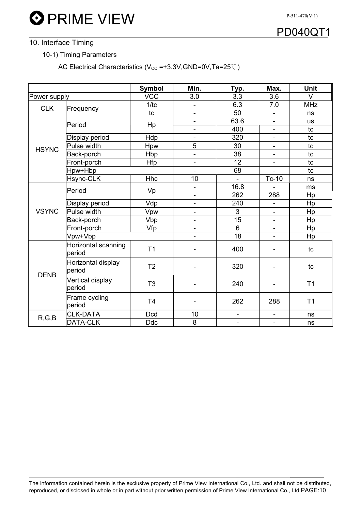**O** PRIME VIEW

### PD040QT1 P-511-470(V:1)

#### 10. Interface Timing

10-1) Timing Parameters

AC Electrical Characteristics ( $V_{CC} = +3.3V$ , GND=0V, Ta=25°C)

|              |                               | <b>Symbol</b>  | Min.                     | Typ.                     | Max.                     | Unit           |
|--------------|-------------------------------|----------------|--------------------------|--------------------------|--------------------------|----------------|
| Power supply |                               | <b>VCC</b>     | 3.0                      | 3.3                      | 3.6                      | V              |
| <b>CLK</b>   |                               | 1/tc           | $\overline{\phantom{a}}$ | 6.3                      | 7.0                      | <b>MHz</b>     |
|              | Frequency                     | tc             | $\overline{\phantom{a}}$ | 50                       | $\blacksquare$           | ns             |
|              | Period                        | Hp             | $\overline{\phantom{a}}$ | 63.6                     | ÷,                       | <b>us</b>      |
|              |                               |                | $\overline{\phantom{a}}$ | 400                      | $\frac{1}{2}$            | tc             |
|              | Display period                | Hdp            |                          | 320                      |                          | tc             |
| <b>HSYNC</b> | Pulse width                   | Hpw            | 5                        | 30                       | $\overline{\phantom{a}}$ | tc             |
|              | Back-porch                    | Hbp            | $\blacksquare$           | 38                       | $\blacksquare$           | tc             |
|              | Front-porch                   | <b>Hfp</b>     | $\overline{\phantom{a}}$ | 12                       | $\blacksquare$           | tc             |
|              | Hpw+Hbp                       |                |                          | 68                       |                          | tc             |
|              | Hsync-CLK                     | <b>Hhc</b>     | 10                       | $\overline{\phantom{a}}$ | Tc-10                    | ns             |
|              | Period                        | Vp             | $\overline{\phantom{a}}$ | 16.8                     |                          | ms             |
|              |                               |                | $\overline{\phantom{a}}$ | 262                      | 288                      | Hp             |
|              | Display period                | Vdp            | $\overline{\phantom{m}}$ | 240                      | ÷,                       | Hp             |
| <b>VSYNC</b> | Pulse width                   | Vpw            | $\blacksquare$           | 3                        | $\overline{\phantom{a}}$ | Hp             |
|              | Back-porch                    | Vbp            | $\overline{\phantom{a}}$ | 15                       | $\overline{\phantom{0}}$ | Hp             |
|              | Front-porch                   | Vfp            | $\overline{\phantom{a}}$ | $6\phantom{1}$           | ۰                        | Hp             |
|              | Vpw+Vbp                       |                |                          | 18                       | ÷                        | Hp             |
|              | Horizontal scanning<br>period | T <sub>1</sub> |                          | 400                      |                          | tc             |
| <b>DENB</b>  | Horizontal display<br>period  | T <sub>2</sub> |                          | 320                      |                          | tc             |
|              | Vertical display<br>period    | T <sub>3</sub> |                          | 240                      |                          | T <sub>1</sub> |
|              | Frame cycling<br>period       | T <sub>4</sub> |                          | 262                      | 288                      | T <sub>1</sub> |
| R, G, B      | <b>CLK-DATA</b>               | <b>Dcd</b>     | 10                       | ÷,                       | $\blacksquare$           | ns             |
|              | DATA-CLK                      | <b>Ddc</b>     | $\overline{8}$           | $\overline{\phantom{0}}$ | L.                       | ns             |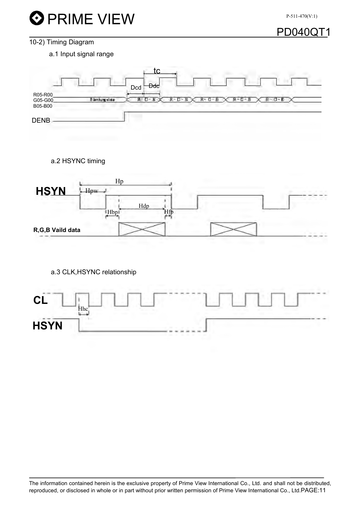

#### PD040QT1

#### 10-2) Timing Diagram

a.1 Input signal range



a.2 HSYNC timing



a.3 CLK,HSYNC relationship

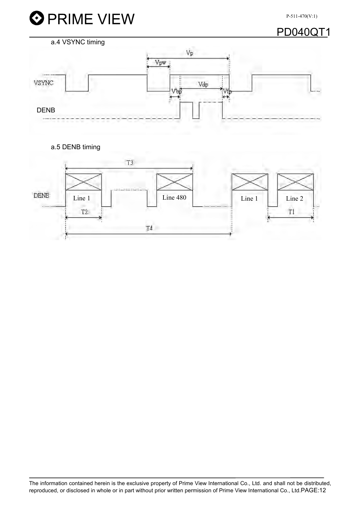

### PD040QT1



a.5 DENB timing

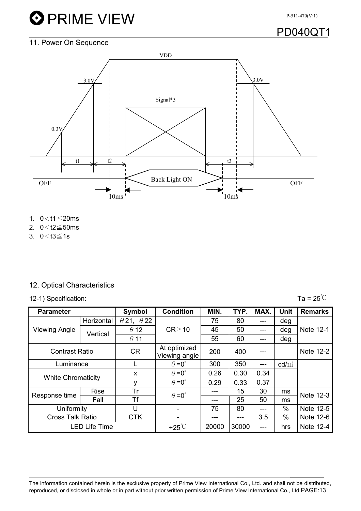## **O** PRIME VIEW

P-511-470(V:1)

### **PD040Q**

### 11. Power On Sequence



- 1.  $0 < t1 \leq 20$ ms
- 2.  $0 < t2 \leq 50$ ms
- 3.  $0 < t3 \le 1s$

#### 12. Optical Characteristics

12-1) Specification:  $\overline{a} = 25^{\circ}C$ 

| <b>Parameter</b>          |                      | Symbol                   | <b>Condition</b>              | MIN.  | TYP.  | MAX. | <b>Unit</b>     | <b>Remarks</b> |
|---------------------------|----------------------|--------------------------|-------------------------------|-------|-------|------|-----------------|----------------|
|                           | Horizontal           | $\theta$ 21, $\theta$ 22 |                               | 75    | 80    | ---  | deg             |                |
| <b>Viewing Angle</b>      | Vertical             | $\theta$ 12              | $CR \ge 10$                   | 45    | 50    | ---  | deg             | Note 12-1      |
|                           |                      | $\theta$ 11              |                               | 55    | 60    | ---  | deg             |                |
| <b>Contrast Ratio</b>     |                      | <b>CR</b>                | At optimized<br>Viewing angle | 200   | 400   | ---  |                 | Note 12-2      |
| Luminance                 |                      |                          | $\theta = 0^{\circ}$          | 300   | 350   | ---  | $\text{cd/m}^2$ |                |
| <b>White Chromaticity</b> |                      | X                        | $\theta = 0^{\circ}$          | 0.26  | 0.30  | 0.34 |                 |                |
|                           |                      | ۷                        | $\theta = 0^{\circ}$          | 0.29  | 0.33  | 0.37 |                 |                |
| Response time             | <b>Rise</b>          | Tr                       | $\theta = 0^{\circ}$          |       | 15    | 30   | ms              | Note 12-3      |
|                           | Fall                 | Τf                       |                               | ---   | 25    | 50   | ms              |                |
| Uniformity                |                      | U                        |                               | 75    | 80    | ---  | %               | Note 12-5      |
| <b>Cross Talk Ratio</b>   |                      | <b>CTK</b>               |                               |       |       | 3.5  | $\%$            | Note 12-6      |
|                           | <b>LED Life Time</b> |                          | $+25^{\circ}C$                | 20000 | 30000 | ---  | hrs             | Note 12-4      |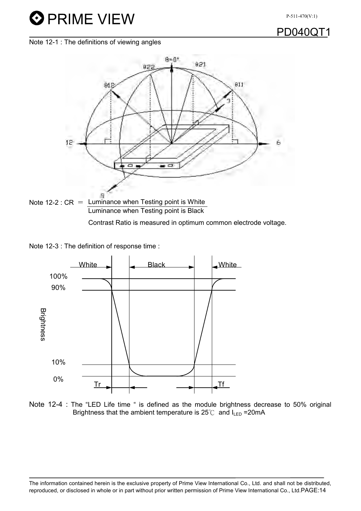# **O** PRIME VIEW

### PD0400

Note 12-1 : The definitions of viewing angles



Contrast Ratio is measured in optimum common electrode voltage.

Note 12-3 : The definition of response time :



Note 12-4 : The "LED Life time " is defined as the module brightness decrease to 50% original Brightness that the ambient temperature is  $25^{\circ}$  and  $I_{LED} = 20 \text{mA}$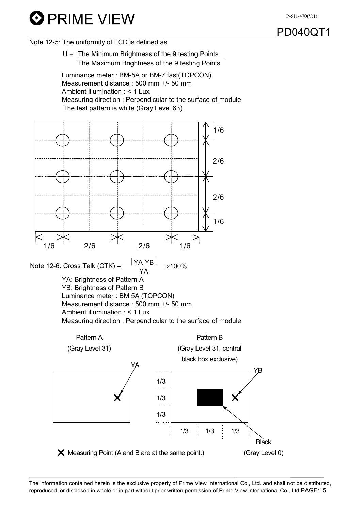**D** PRIME VIEW

### PD040QT1 P-511-470(V:1)

Note 12-5: The uniformity of LCD is defined as



 Luminance meter : BM-5A or BM-7 fast(TOPCON) Measurement distance : 500 mm +/- 50 mm Ambient illumination : < 1 Lux Measuring direction : Perpendicular to the surface of module The test pattern is white (Gray Level 63).

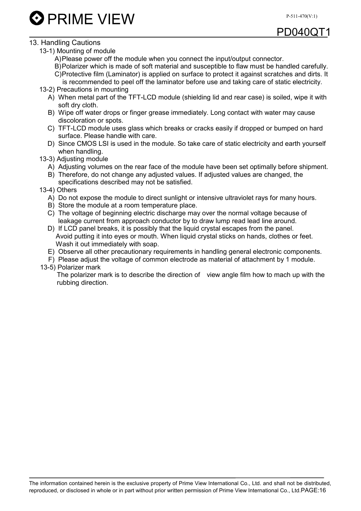**D** PRIME VIEW

### $PD040Q$

#### 13. Handling Cautions

- 13-1) Mounting of module
	- A) Please power off the module when you connect the input/output connector.

B) Polarizer which is made of soft material and susceptible to flaw must be handled carefully. C) Protective film (Laminator) is applied on surface to protect it against scratches and dirts. It

- is recommended to peel off the laminator before use and taking care of static electricity.
- 13-2) Precautions in mounting
	- A) When metal part of the TFT-LCD module (shielding lid and rear case) is soiled, wipe it with soft dry cloth.
	- B) Wipe off water drops or finger grease immediately. Long contact with water may cause discoloration or spots.
	- C) TFT-LCD module uses glass which breaks or cracks easily if dropped or bumped on hard surface. Please handle with care.
	- D) Since CMOS LSI is used in the module. So take care of static electricity and earth yourself when handling.
- 13-3) Adjusting module
	- A) Adjusting volumes on the rear face of the module have been set optimally before shipment.
	- B) Therefore, do not change any adjusted values. If adjusted values are changed, the specifications described may not be satisfied.
- 13-4) Others
	- A) Do not expose the module to direct sunlight or intensive ultraviolet rays for many hours.
	- B) Store the module at a room temperature place.
	- C) The voltage of beginning electric discharge may over the normal voltage because of leakage current from approach conductor by to draw lump read lead line around.
	- D) If LCD panel breaks, it is possibly that the liquid crystal escapes from the panel. Avoid putting it into eyes or mouth. When liquid crystal sticks on hands, clothes or feet. Wash it out immediately with soap.
	- E) Observe all other precautionary requirements in handling general electronic components.
	- F) Please adjust the voltage of common electrode as material of attachment by 1 module.
- 13-5) Polarizer mark

The polarizer mark is to describe the direction of view angle film how to mach up with the rubbing direction.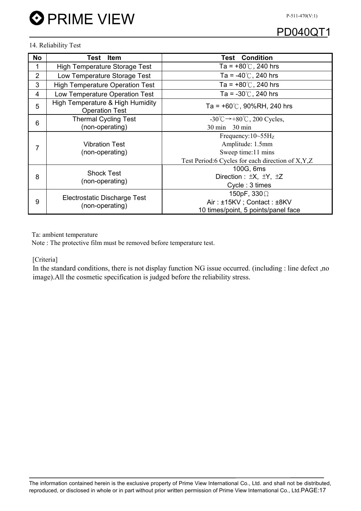

### $PD040$

#### 14. Reliability Test

| <b>No</b>       | <b>Item</b><br>Test                                       | <b>Condition</b><br>Test                                 |
|-----------------|-----------------------------------------------------------|----------------------------------------------------------|
| 1               | High Temperature Storage Test                             | Ta = $+80^{\circ}$ C, 240 hrs                            |
| $\overline{2}$  | Low Temperature Storage Test                              | Ta = $-40^{\circ}$ C, 240 hrs                            |
| 3               | <b>High Temperature Operation Test</b>                    | Ta = $+80^{\circ}$ C, 240 hrs                            |
| $\overline{4}$  | Low Temperature Operation Test                            | Ta = $-30^{\circ}$ C, 240 hrs                            |
| 5               | High Temperature & High Humidity<br><b>Operation Test</b> | Ta = $+60^{\circ}$ C, 90%RH, 240 hrs                     |
| 6               | <b>Thermal Cycling Test</b>                               | $-30^{\circ}$ C $\rightarrow +80^{\circ}$ C, 200 Cycles, |
| (non-operating) |                                                           | 30 min 30 min                                            |
|                 |                                                           | Frequency: $10 \sim 55$ Hz                               |
| 7               | <b>Vibration Test</b>                                     | Amplitude: 1.5mm                                         |
|                 | (non-operating)                                           | Sweep time: 11 mins                                      |
|                 |                                                           | Test Period:6 Cycles for each direction of X, Y, Z       |
|                 |                                                           | 100G, 6ms                                                |
| 8               | <b>Shock Test</b>                                         | Direction : $\pm X$ , $\pm Y$ , $\pm Z$                  |
|                 | (non-operating)                                           | Cycle: 3 times                                           |
|                 |                                                           | 150pF, $330\Omega$                                       |
| 9               | Electrostatic Discharge Test                              | Air: ±15KV; Contact: ±8KV                                |
|                 | (non-operating)                                           | 10 times/point, 5 points/panel face                      |

Ta: ambient temperature

Note : The protective film must be removed before temperature test.

[Criteria]

 In the standard conditions, there is not display function NG issue occurred. (including : line defect ,no image).All the cosmetic specification is judged before the reliability stress.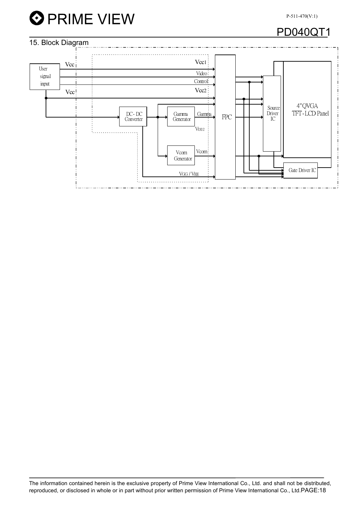

### **PD040C**

### 15. Block Diagram